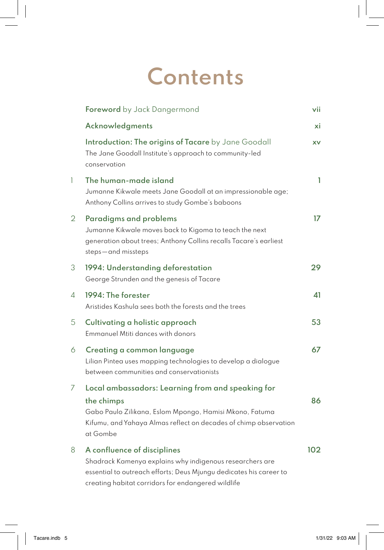## **Contents**

|                | Foreword by Jack Dangermond                                                                                                                                                                                         | vii |
|----------------|---------------------------------------------------------------------------------------------------------------------------------------------------------------------------------------------------------------------|-----|
|                | Acknowledgments                                                                                                                                                                                                     | хi  |
|                | Introduction: The origins of Tacare by Jane Goodall<br>The Jane Goodall Institute's approach to community-led<br>conservation                                                                                       | XV  |
| 1              | The human-made island<br>Jumanne Kikwale meets Jane Goodall at an impressionable age;<br>Anthony Collins arrives to study Gombe's baboons                                                                           | 1   |
| $\overline{2}$ | Paradigms and problems<br>Jumanne Kikwale moves back to Kigoma to teach the next<br>generation about trees; Anthony Collins recalls Tacare's earliest<br>steps-and missteps                                         | 17  |
| 3              | 1994: Understanding deforestation<br>George Strunden and the genesis of Tacare                                                                                                                                      | 29  |
| 4              | 1994: The forester<br>Aristides Kashula sees both the forests and the trees                                                                                                                                         | 41  |
| 5              | Cultivating a holistic approach<br><b>Emmanuel Mtiti dances with donors</b>                                                                                                                                         | 53  |
| 6              | Creating a common language<br>Lilian Pintea uses mapping technologies to develop a dialogue<br>between communities and conservationists                                                                             | 67  |
| 7              | Local ambassadors: Learning from and speaking for<br>the chimps<br>Gabo Paulo Zilikana, Eslom Mpongo, Hamisi Mkono, Fatuma<br>Kifumu, and Yahaya Almas reflect on decades of chimp observation<br>at Gombe          | 86  |
| 8              | A confluence of disciplines<br>Shadrack Kamenya explains why indigenous researchers are<br>essential to outreach efforts; Deus Mjungu dedicates his career to<br>creating habitat corridors for endangered wildlife | 102 |